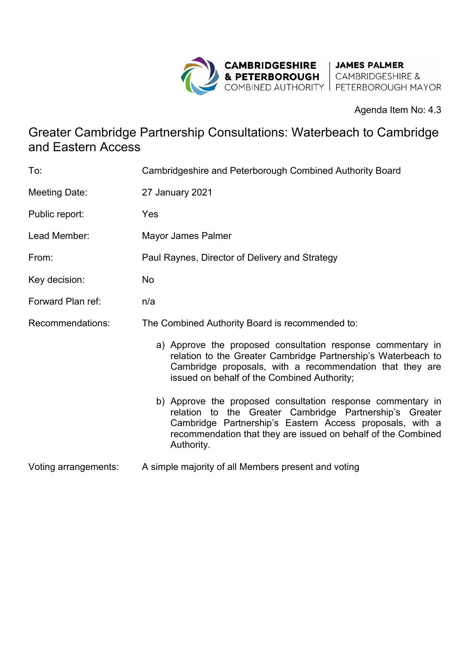

Agenda Item No: 4.3

## Greater Cambridge Partnership Consultations: Waterbeach to Cambridge and Eastern Access

| To:                  | Cambridgeshire and Peterborough Combined Authority Board                                                                                                                                                                                                          |
|----------------------|-------------------------------------------------------------------------------------------------------------------------------------------------------------------------------------------------------------------------------------------------------------------|
| Meeting Date:        | <b>27 January 2021</b>                                                                                                                                                                                                                                            |
| Public report:       | Yes                                                                                                                                                                                                                                                               |
| Lead Member:         | Mayor James Palmer                                                                                                                                                                                                                                                |
| From:                | Paul Raynes, Director of Delivery and Strategy                                                                                                                                                                                                                    |
| Key decision:        | No                                                                                                                                                                                                                                                                |
| Forward Plan ref:    | n/a                                                                                                                                                                                                                                                               |
| Recommendations:     | The Combined Authority Board is recommended to:                                                                                                                                                                                                                   |
|                      | a) Approve the proposed consultation response commentary in<br>relation to the Greater Cambridge Partnership's Waterbeach to<br>Cambridge proposals, with a recommendation that they are<br>issued on behalf of the Combined Authority;                           |
|                      | b) Approve the proposed consultation response commentary in<br>relation to the Greater Cambridge Partnership's Greater<br>Cambridge Partnership's Eastern Access proposals, with a<br>recommendation that they are issued on behalf of the Combined<br>Authority. |
| Voting arrangements: | A simple majority of all Members present and voting                                                                                                                                                                                                               |